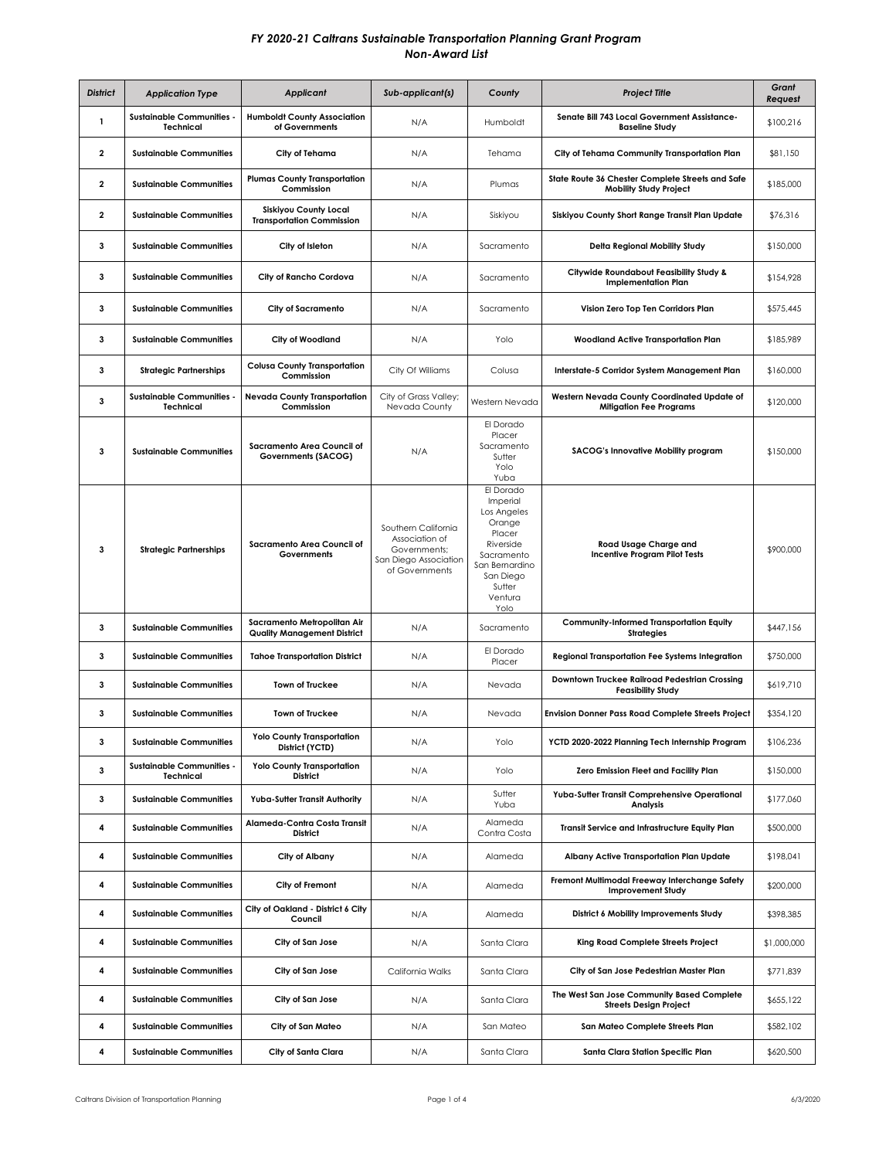| <b>District</b> | <b>Application Type</b>                              | <b>Applicant</b>                                                  | Sub-applicant(s)                                                                                 | County                                                                                                                                          | <b>Project Title</b>                                                              | Grant<br>Request |
|-----------------|------------------------------------------------------|-------------------------------------------------------------------|--------------------------------------------------------------------------------------------------|-------------------------------------------------------------------------------------------------------------------------------------------------|-----------------------------------------------------------------------------------|------------------|
| $\mathbf{1}$    | <b>Sustainable Communities -</b><br><b>Technical</b> | <b>Humboldt County Association</b><br>of Governments              | N/A                                                                                              | Humboldt                                                                                                                                        | Senate Bill 743 Local Government Assistance-<br><b>Baseline Study</b>             | \$100,216        |
| 2               | <b>Sustainable Communities</b>                       | City of Tehama                                                    | N/A                                                                                              | Tehama                                                                                                                                          | City of Tehama Community Transportation Plan                                      | \$81,150         |
| $\mathbf{2}$    | <b>Sustainable Communities</b>                       | <b>Plumas County Transportation</b><br>Commission                 | N/A                                                                                              | Plumas                                                                                                                                          | State Route 36 Chester Complete Streets and Safe<br><b>Mobility Study Project</b> | \$185,000        |
| 2               | <b>Sustainable Communities</b>                       | <b>Siskiyou County Local</b><br><b>Transportation Commission</b>  | N/A                                                                                              | Siskiyou                                                                                                                                        | Siskiyou County Short Range Transit Plan Update                                   | \$76,316         |
| 3               | <b>Sustainable Communities</b>                       | City of Isleton                                                   | N/A                                                                                              | Sacramento                                                                                                                                      | Delta Regional Mobility Study                                                     | \$150,000        |
| 3               | <b>Sustainable Communities</b>                       | City of Rancho Cordova                                            | N/A                                                                                              | Sacramento                                                                                                                                      | Citywide Roundabout Feasibility Study &<br><b>Implementation Plan</b>             | \$154,928        |
| 3               | <b>Sustainable Communities</b>                       | <b>City of Sacramento</b>                                         | N/A                                                                                              | Sacramento                                                                                                                                      | Vision Zero Top Ten Corridors Plan                                                | \$575,445        |
| 3               | <b>Sustainable Communities</b>                       | City of Woodland                                                  | N/A                                                                                              | Yolo                                                                                                                                            | <b>Woodland Active Transportation Plan</b>                                        | \$185,989        |
| 3               | <b>Strategic Partnerships</b>                        | <b>Colusa County Transportation</b><br>Commission                 | City Of Williams                                                                                 | Colusa                                                                                                                                          | Interstate-5 Corridor System Management Plan                                      | \$160,000        |
| з               | <b>Sustainable Communities -</b><br><b>Technical</b> | <b>Nevada County Transportation</b><br>Commission                 | City of Grass Valley;<br>Nevada County                                                           | Western Nevada                                                                                                                                  | Western Nevada County Coordinated Update of<br><b>Mitigation Fee Programs</b>     | \$120,000        |
| 3               | <b>Sustainable Communities</b>                       | Sacramento Area Council of<br>Governments (SACOG)                 | N/A                                                                                              | El Dorado<br>Placer<br>Sacramento<br>Sutter<br>Yolo<br>Yuba                                                                                     | SACOG's Innovative Mobility program                                               | \$150,000        |
| 3               | <b>Strategic Partnerships</b>                        | Sacramento Area Council of<br>Governments                         | Southern California<br>Association of<br>Governments;<br>San Diego Association<br>of Governments | El Dorado<br>Imperial<br>Los Angeles<br>Orange<br>Placer<br>Riverside<br>Sacramento<br>San Bernardino<br>San Diego<br>Sutter<br>Ventura<br>Yolo | Road Usage Charge and<br><b>Incentive Program Pilot Tests</b>                     | \$900,000        |
| 3               | <b>Sustainable Communities</b>                       | Sacramento Metropolitan Air<br><b>Quality Management District</b> | N/A                                                                                              | Sacramento                                                                                                                                      | <b>Community-Informed Transportation Equity</b><br><b>Strategies</b>              | \$447,156        |
| 3               | <b>Sustainable Communities</b>                       | <b>Tahoe Transportation District</b>                              | N/A                                                                                              | El Dorado<br>Placer                                                                                                                             | <b>Regional Transportation Fee Systems Integration</b>                            | \$750,000        |
| 3               | <b>Sustainable Communities</b>                       | Town of Truckee                                                   | N/A                                                                                              | Nevada                                                                                                                                          | Downtown Truckee Railroad Pedestrian Crossing<br><b>Feasibility Study</b>         | \$619,710        |
| 3               | <b>Sustainable Communities</b>                       | Town of Truckee                                                   | N/A                                                                                              | Nevada                                                                                                                                          | <b>Envision Donner Pass Road Complete Streets Project</b>                         | \$354,120        |
| 3               | <b>Sustainable Communities</b>                       | <b>Yolo County Transportation</b><br>District (YCTD)              | N/A                                                                                              | Yolo                                                                                                                                            | YCTD 2020-2022 Planning Tech Internship Program                                   | \$106,236        |
| 3               | <b>Sustainable Communities -</b><br><b>Technical</b> | <b>Yolo County Transportation</b><br>District                     | N/A                                                                                              | Yolo                                                                                                                                            | Zero Emission Fleet and Facility Plan                                             | \$150,000        |
| 3               | <b>Sustainable Communities</b>                       | Yuba-Sutter Transit Authority                                     | N/A                                                                                              | Sutter<br>Yuba                                                                                                                                  | Yuba-Sutter Transit Comprehensive Operational<br>Analysis                         | \$177,060        |
| 4               | <b>Sustainable Communities</b>                       | Alameda-Contra Costa Transit<br><b>District</b>                   | N/A                                                                                              | Alameda<br>Contra Costa                                                                                                                         | Transit Service and Infrastructure Equity Plan                                    | \$500,000        |
| 4               | <b>Sustainable Communities</b>                       | City of Albany                                                    | N/A                                                                                              | Alameda                                                                                                                                         | Albany Active Transportation Plan Update                                          | \$198,041        |
| 4               | <b>Sustainable Communities</b>                       | City of Fremont                                                   | N/A                                                                                              | Alameda                                                                                                                                         | Fremont Multimodal Freeway Interchange Safety<br><b>Improvement Study</b>         | \$200,000        |
| 4               | <b>Sustainable Communities</b>                       | City of Oakland - District 6 City<br>Council                      | N/A                                                                                              | Alameda                                                                                                                                         | District 6 Mobility Improvements Study                                            | \$398,385        |
| 4               | <b>Sustainable Communities</b>                       | City of San Jose                                                  | N/A                                                                                              | Santa Clara                                                                                                                                     | King Road Complete Streets Project                                                | \$1,000,000      |
| 4               | <b>Sustainable Communities</b>                       | City of San Jose                                                  | California Walks                                                                                 | Santa Clara                                                                                                                                     | City of San Jose Pedestrian Master Plan                                           | \$771,839        |
| 4               | <b>Sustainable Communities</b>                       | City of San Jose                                                  | N/A                                                                                              | Santa Clara                                                                                                                                     | The West San Jose Community Based Complete<br><b>Streets Design Project</b>       | \$655,122        |
| 4               | <b>Sustainable Communities</b>                       | City of San Mateo                                                 | N/A                                                                                              | San Mateo                                                                                                                                       | San Mateo Complete Streets Plan                                                   | \$582,102        |
| 4               | <b>Sustainable Communities</b>                       | City of Santa Clara                                               | N/A                                                                                              | Santa Clara                                                                                                                                     | Santa Clara Station Specific Plan                                                 | \$620,500        |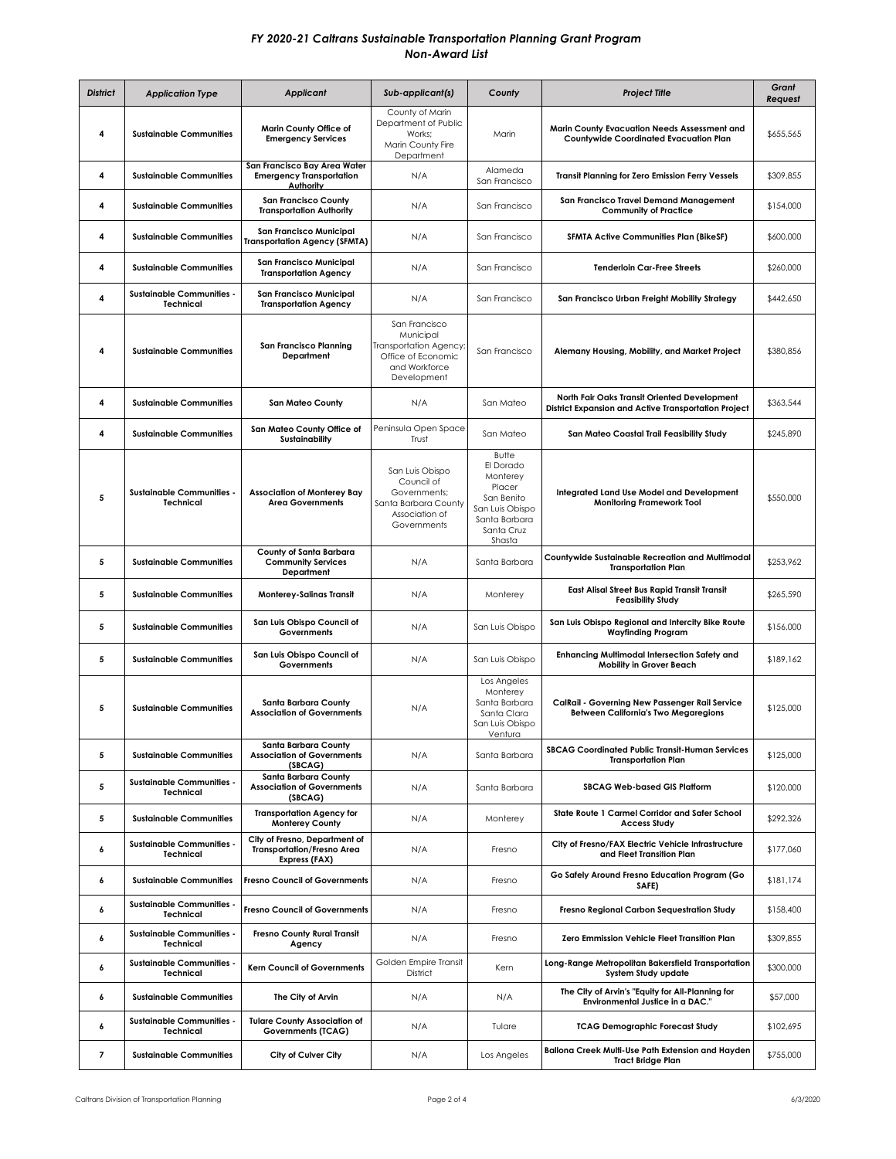| <b>District</b> | <b>Application Type</b>                              | Applicant                                                                           | Sub-applicant(s)                                                                                           | County                                                                                                             | <b>Project Title</b>                                                                                 | Grant<br>Request |
|-----------------|------------------------------------------------------|-------------------------------------------------------------------------------------|------------------------------------------------------------------------------------------------------------|--------------------------------------------------------------------------------------------------------------------|------------------------------------------------------------------------------------------------------|------------------|
| 4               | <b>Sustainable Communities</b>                       | Marin County Office of<br><b>Emergency Services</b>                                 | County of Marin<br>Department of Public<br>Works:<br>Marin County Fire<br>Department                       | Marin                                                                                                              | Marin County Evacuation Needs Assessment and<br>Countywide Coordinated Evacuation Plan               | \$655,565        |
| 4               | <b>Sustainable Communities</b>                       | San Francisco Bay Area Water<br><b>Emergency Transportation</b><br>Authority        | N/A                                                                                                        | Alameda<br>San Francisco                                                                                           | <b>Transit Planning for Zero Emission Ferry Vessels</b>                                              | \$309,855        |
| 4               | <b>Sustainable Communities</b>                       | <b>San Francisco County</b><br><b>Transportation Authority</b>                      | N/A                                                                                                        | San Francisco                                                                                                      | San Francisco Travel Demand Management<br><b>Community of Practice</b>                               | \$154,000        |
| 4               | <b>Sustainable Communities</b>                       | <b>San Francisco Municipal</b><br><b>Transportation Agency (SFMTA)</b>              | N/A                                                                                                        | San Francisco                                                                                                      | <b>SFMTA Active Communities Plan (BikeSF)</b>                                                        | \$600,000        |
| 4               | <b>Sustainable Communities</b>                       | <b>San Francisco Municipal</b><br><b>Transportation Agency</b>                      | N/A                                                                                                        | San Francisco                                                                                                      | <b>Tenderloin Car-Free Streets</b>                                                                   | \$260,000        |
| 4               | <b>Sustainable Communities -</b><br>Technical        | <b>San Francisco Municipal</b><br><b>Transportation Agency</b>                      | N/A                                                                                                        | San Francisco                                                                                                      | San Francisco Urban Freight Mobility Strategy                                                        | \$442,650        |
| 4               | <b>Sustainable Communities</b>                       | <b>San Francisco Planning</b><br>Department                                         | San Francisco<br>Municipal<br>Transportation Agency;<br>Office of Economic<br>and Workforce<br>Development | San Francisco                                                                                                      | Alemany Housing, Mobility, and Market Project                                                        | \$380,856        |
| 4               | <b>Sustainable Communities</b>                       | <b>San Mateo County</b>                                                             | N/A                                                                                                        | San Mateo                                                                                                          | North Fair Oaks Transit Oriented Development<br>District Expansion and Active Transportation Project | \$363,544        |
| 4               | <b>Sustainable Communities</b>                       | San Mateo County Office of<br><b>Sustainability</b>                                 | Peninsula Open Space<br>Trust                                                                              | San Mateo                                                                                                          | San Mateo Coastal Trail Feasibility Study                                                            | \$245,890        |
| 5               | <b>Sustainable Communities -</b><br>Technical        | <b>Association of Monterey Bay</b><br><b>Area Governments</b>                       | San Luis Obispo<br>Council of<br>Governments:<br>Santa Barbara County<br>Association of<br>Governments     | Butte<br>El Dorado<br>Monterey<br>Placer<br>San Benito<br>San Luis Obispo<br>Santa Barbara<br>Santa Cruz<br>Shasta | Integrated Land Use Model and Development<br><b>Monitoring Framework Tool</b>                        | \$550,000        |
| 5               | <b>Sustainable Communities</b>                       | County of Santa Barbara<br><b>Community Services</b><br>Department                  | N/A                                                                                                        | Santa Barbara                                                                                                      | Countywide Sustainable Recreation and Multimodal<br><b>Transportation Plan</b>                       | \$253,962        |
| 5               | <b>Sustainable Communities</b>                       | <b>Monterey-Salinas Transit</b>                                                     | N/A                                                                                                        | Monterey                                                                                                           | <b>East Alisal Street Bus Rapid Transit Transit</b><br><b>Feasibility Study</b>                      | \$265,590        |
| 5               | <b>Sustainable Communities</b>                       | San Luis Obispo Council of<br>Governments                                           | N/A                                                                                                        | San Luis Obispo                                                                                                    | San Luis Obispo Regional and Intercity Bike Route<br><b>Wayfinding Program</b>                       | \$156,000        |
| 5               | <b>Sustainable Communities</b>                       | San Luis Obispo Council of<br>Governments                                           | N/A                                                                                                        | San Luis Obispo<br>Los Angeles                                                                                     | <b>Enhancing Multimodal Intersection Safety and</b><br><b>Mobility in Grover Beach</b>               | \$189,162        |
| 5               | <b>Sustainable Communities</b>                       | Santa Barbara County<br><b>Association of Governments</b>                           | N/A                                                                                                        | Monterey<br>Santa Barbara<br>Santa Clara<br>San Luis Obispo<br>Ventura                                             | CalRail - Governing New Passenger Rail Service<br><b>Between California's Two Megaregions</b>        | \$125,000        |
| 5               | <b>Sustainable Communities</b>                       | Santa Barbara County<br><b>Association of Governments</b><br>(SBCAG)                | N/A                                                                                                        | Santa Barbara                                                                                                      | <b>SBCAG Coordinated Public Transit-Human Services</b><br><b>Transportation Plan</b>                 | \$125,000        |
| 5               | <b>Sustainable Communities -</b><br><b>Technical</b> | Santa Barbara County<br><b>Association of Governments</b><br>(SBCAG)                | N/A                                                                                                        | Santa Barbara                                                                                                      | <b>SBCAG Web-based GIS Platform</b>                                                                  | \$120,000        |
| 5               | <b>Sustainable Communities</b>                       | <b>Transportation Agency for</b><br><b>Monterey County</b>                          | N/A                                                                                                        | Monterey                                                                                                           | State Route 1 Carmel Corridor and Safer School<br><b>Access Study</b>                                | \$292,326        |
| 6               | <b>Sustainable Communities -</b><br>Technical        | City of Fresno, Department of<br><b>Transportation/Fresno Area</b><br>Express (FAX) | N/A                                                                                                        | Fresno                                                                                                             | City of Fresno/FAX Electric Vehicle Infrastructure<br>and Fleet Transition Plan                      | \$177,060        |
| 6               | <b>Sustainable Communities</b>                       | <b>Fresno Council of Governments</b>                                                | N/A                                                                                                        | Fresno                                                                                                             | Go Safely Around Fresno Education Program (Go<br>SAFE)                                               | \$181,174        |
| 6               | <b>Sustainable Communities -</b><br>Technical        | <b>Fresno Council of Governments</b>                                                | N/A                                                                                                        | Fresno                                                                                                             | Fresno Regional Carbon Sequestration Study                                                           | \$158,400        |
| 6               | <b>Sustainable Communities -</b><br><b>Technical</b> | <b>Fresno County Rural Transit</b><br>Agency                                        | N/A                                                                                                        | Fresno                                                                                                             | Zero Emmission Vehicle Fleet Transition Plan                                                         | \$309,855        |
| 6               | <b>Sustainable Communities -</b><br><b>Technical</b> | <b>Kern Council of Governments</b>                                                  | Golden Empire Transit<br>District                                                                          | Kern                                                                                                               | Long-Range Metropolitan Bakersfield Transportation<br>System Study update                            | \$300,000        |
| 6               | <b>Sustainable Communities</b>                       | The City of Arvin                                                                   | N/A                                                                                                        | N/A                                                                                                                | The City of Arvin's "Equity for All-Planning for<br>Environmental Justice in a DAC."                 | \$57,000         |
| 6               | <b>Sustainable Communities -</b><br>Technical        | <b>Tulare County Association of</b><br>Governments (TCAG)                           | N/A                                                                                                        | Tulare                                                                                                             | <b>TCAG Demographic Forecast Study</b>                                                               | \$102,695        |
| 7               | <b>Sustainable Communities</b>                       | City of Culver City                                                                 | N/A                                                                                                        | Los Angeles                                                                                                        | Ballona Creek Multi-Use Path Extension and Hayden<br><b>Tract Bridge Plan</b>                        | \$755,000        |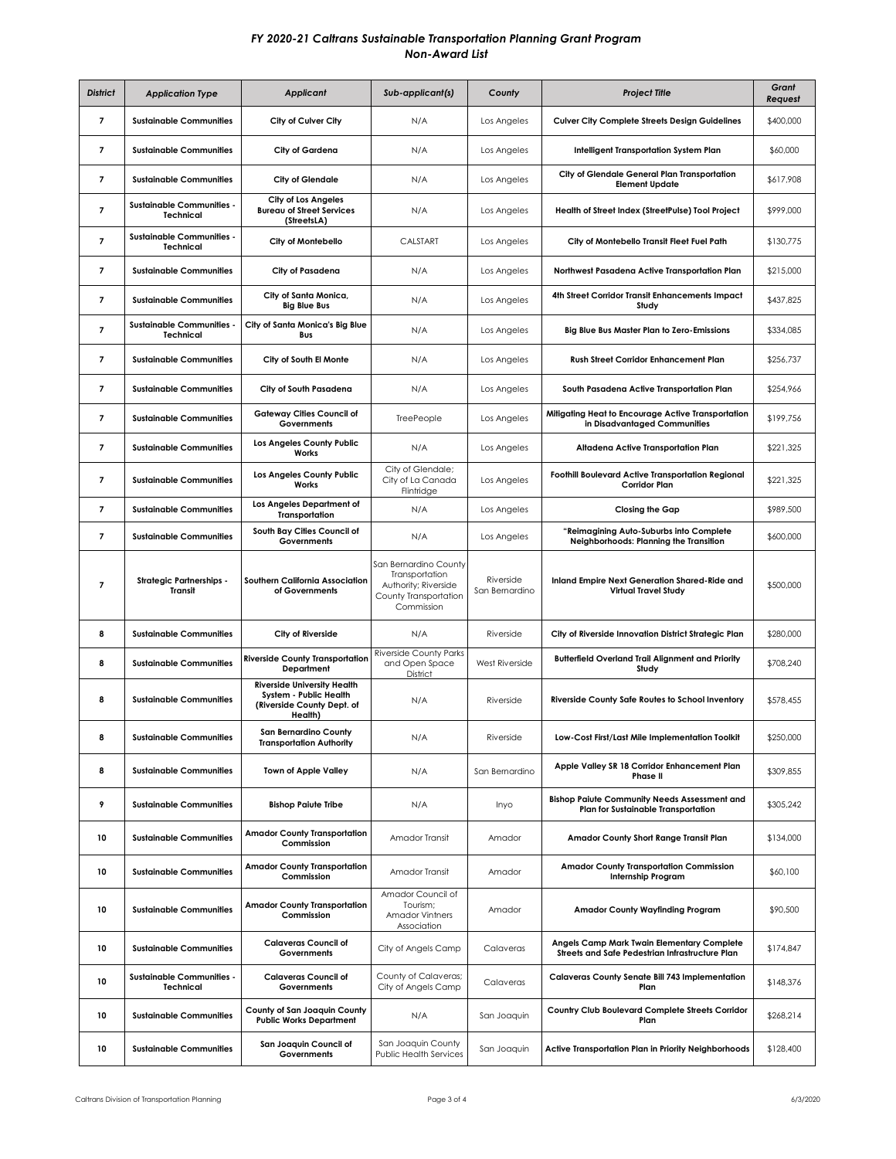| <b>District</b>          | <b>Application Type</b>                              | <b>Applicant</b>                                                                                      | Sub-applicant(s)                                                                                       | County                      | <b>Project Title</b>                                                                          | Grant<br>Request |
|--------------------------|------------------------------------------------------|-------------------------------------------------------------------------------------------------------|--------------------------------------------------------------------------------------------------------|-----------------------------|-----------------------------------------------------------------------------------------------|------------------|
| $\overline{7}$           | <b>Sustainable Communities</b>                       | City of Culver City                                                                                   | N/A                                                                                                    | Los Angeles                 | <b>Culver City Complete Streets Design Guidelines</b>                                         | \$400,000        |
| 7                        | <b>Sustainable Communities</b>                       | City of Gardena                                                                                       | N/A                                                                                                    | Los Angeles                 | Intelligent Transportation System Plan                                                        | \$60,000         |
| 7                        | <b>Sustainable Communities</b>                       | <b>City of Glendale</b>                                                                               | N/A                                                                                                    | Los Angeles                 | City of Glendale General Plan Transportation<br><b>Element Update</b>                         | \$617,908        |
| 7                        | <b>Sustainable Communities -</b><br><b>Technical</b> | City of Los Angeles<br><b>Bureau of Street Services</b><br>(StreetsLA)                                | N/A                                                                                                    | Los Angeles                 | Health of Street Index (StreetPulse) Tool Project                                             | \$999,000        |
| 7                        | <b>Sustainable Communities -</b><br>Technical        | City of Montebello                                                                                    | CALSTART                                                                                               | Los Angeles                 | City of Montebello Transit Fleet Fuel Path                                                    | \$130,775        |
| $\overline{7}$           | <b>Sustainable Communities</b>                       | City of Pasadena                                                                                      | N/A                                                                                                    | Los Angeles                 | Northwest Pasadena Active Transportation Plan                                                 | \$215,000        |
| 7                        | <b>Sustainable Communities</b>                       | City of Santa Monica,<br><b>Big Blue Bus</b>                                                          | N/A                                                                                                    | Los Angeles                 | 4th Street Corridor Transit Enhancements Impact<br>Study                                      | \$437,825        |
| $\overline{7}$           | <b>Sustainable Communities -</b><br><b>Technical</b> | City of Santa Monica's Big Blue<br>Bus                                                                | N/A                                                                                                    | Los Angeles                 | Big Blue Bus Master Plan to Zero-Emissions                                                    | \$334,085        |
| 7                        | <b>Sustainable Communities</b>                       | City of South El Monte                                                                                | N/A                                                                                                    | Los Angeles                 | Rush Street Corridor Enhancement Plan                                                         | \$256,737        |
| $\overline{\phantom{a}}$ | <b>Sustainable Communities</b>                       | City of South Pasadena                                                                                | N/A                                                                                                    | Los Angeles                 | South Pasadena Active Transportation Plan                                                     | \$254,966        |
| 7                        | <b>Sustainable Communities</b>                       | <b>Gatewav Cities Council of</b><br>Governments                                                       | TreePeople                                                                                             | Los Angeles                 | Mitigating Heat to Encourage Active Transportation<br>in Disadvantaged Communities            | \$199,756        |
| 7                        | <b>Sustainable Communities</b>                       | Los Angeles County Public<br>Works                                                                    | N/A                                                                                                    | Los Angeles                 | Altadena Active Transportation Plan                                                           | \$221,325        |
| 7                        | <b>Sustainable Communities</b>                       | Los Angeles County Public<br>Works                                                                    | City of Glendale;<br>City of La Canada<br>Flintridge                                                   | Los Angeles                 | <b>Foothill Boulevard Active Transportation Regional</b><br><b>Corridor Plan</b>              | \$221,325        |
| 7                        | <b>Sustainable Communities</b>                       | Los Angeles Department of<br><b>Transportation</b>                                                    | N/A                                                                                                    | Los Angeles                 | Closing the Gap                                                                               | \$989,500        |
| 7                        | <b>Sustainable Communities</b>                       | South Bay Cities Council of<br>Governments                                                            | N/A                                                                                                    | Los Angeles                 | "Reimagining Auto-Suburbs into Complete<br>Neighborhoods: Planning the Transition             | \$600,000        |
| 7                        | <b>Strategic Partnerships -</b><br>Transit           | Southern California Association<br>of Governments                                                     | San Bernardino County<br>Transportation<br>Authority; Riverside<br>County Transportation<br>Commission | Riverside<br>San Bernardino | Inland Empire Next Generation Shared-Ride and<br>Virtual Travel Study                         | \$500,000        |
| 8                        | <b>Sustainable Communities</b>                       | City of Riverside                                                                                     | N/A                                                                                                    | Riverside                   | City of Riverside Innovation District Strategic Plan                                          | \$280,000        |
| 8                        | <b>Sustainable Communities</b>                       | <b>Riverside County Transportation</b><br>Department                                                  | <b>Riverside County Parks</b><br>and Open Space<br>District                                            | <b>West Riverside</b>       | <b>Butterfield Overland Trail Alignment and Priority</b><br>Study                             | \$708.240        |
| 8                        | <b>Sustainable Communities</b>                       | <b>Riverside University Health</b><br>System - Public Health<br>(Riverside County Dept. of<br>Health) | N/A                                                                                                    | Riverside                   | <b>Riverside County Safe Routes to School Inventory</b>                                       | \$578,455        |
| 8                        | <b>Sustainable Communities</b>                       | <b>San Bernardino County</b><br><b>Transportation Authority</b>                                       | N/A                                                                                                    | Riverside                   | Low-Cost First/Last Mile Implementation Toolkit                                               | \$250,000        |
| 8                        | <b>Sustainable Communities</b>                       | <b>Town of Apple Valley</b>                                                                           | N/A                                                                                                    | San Bernardino              | Apple Valley SR 18 Corridor Enhancement Plan<br>Phase II                                      | \$309,855        |
| 9                        | <b>Sustainable Communities</b>                       | <b>Bishop Paiute Tribe</b>                                                                            | N/A                                                                                                    | Inyo                        | <b>Bishop Paiute Community Needs Assessment and</b><br>Plan for Sustainable Transportation    | \$305,242        |
| 10                       | <b>Sustainable Communities</b>                       | <b>Amador County Transportation</b><br>Commission                                                     | Amador Transit                                                                                         | Amador                      | Amador County Short Range Transit Plan                                                        | \$134,000        |
| 10                       | <b>Sustainable Communities</b>                       | <b>Amador County Transportation</b><br>Commission                                                     | Amador Transit                                                                                         | Amador                      | <b>Amador County Transportation Commission</b><br><b>Internship Program</b>                   | \$60,100         |
| 10                       | <b>Sustainable Communities</b>                       | <b>Amador County Transportation</b><br>Commission                                                     | Amador Council of<br>Tourism;<br><b>Amador Vintners</b><br>Association                                 | Amador                      | <b>Amador County Wayfinding Program</b>                                                       | \$90,500         |
| 10                       | <b>Sustainable Communities</b>                       | <b>Calaveras Council of</b><br>Governments                                                            | City of Angels Camp                                                                                    | Calaveras                   | Angels Camp Mark Twain Elementary Complete<br>Streets and Safe Pedestrian Infrastructure Plan | \$174,847        |
| 10                       | <b>Sustainable Communities -</b><br><b>Technical</b> | <b>Calaveras Council of</b><br>Governments                                                            | County of Calaveras;<br>City of Angels Camp                                                            | Calaveras                   | Calaveras County Senate Bill 743 Implementation<br>Plan                                       | \$148,376        |
| 10                       | <b>Sustainable Communities</b>                       | County of San Joaquin County<br><b>Public Works Department</b>                                        | N/A                                                                                                    | San Joaquin                 | Country Club Boulevard Complete Streets Corridor<br>Plan                                      | \$268,214        |
| 10                       | <b>Sustainable Communities</b>                       | San Joaquin Council of<br>Governments                                                                 | San Joaquin County<br><b>Public Health Services</b>                                                    | San Joaquin                 | Active Transportation Plan in Priority Neighborhoods                                          | \$128,400        |